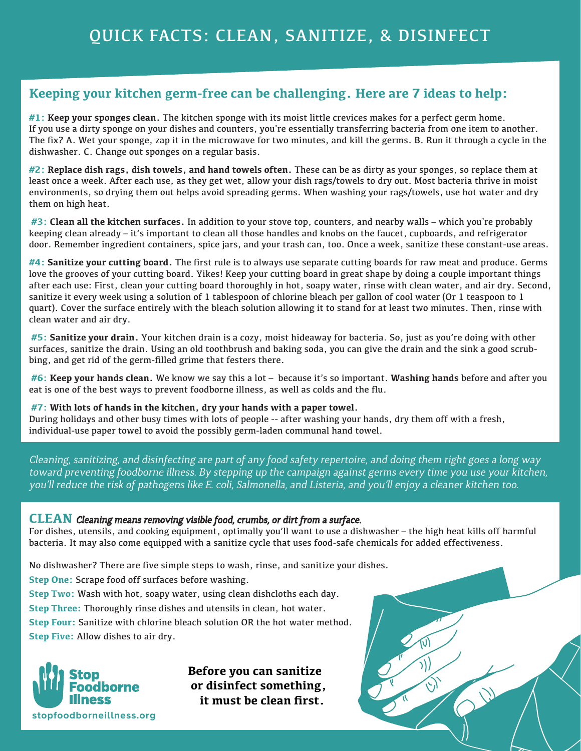# **Keeping your kitchen germ-free can be challenging. Here are 7 ideas to help:**

**#1: Keep your sponges clean.** The kitchen sponge with its moist little crevices makes for a perfect germ home. If you use a dirty sponge on your dishes and counters, you're essentially transferring bacteria from one item to another. The fix? A. Wet your sponge, zap it in the microwave for two minutes, and kill the germs. B. Run it through a cycle in the dishwasher. C. Change out sponges on a regular basis.

**#2: Replace dish rags, dish towels, and hand towels often.** These can be as dirty as your sponges, so replace them at least once a week. After each use, as they get wet, allow your dish rags/towels to dry out. Most bacteria thrive in moist environments, so drying them out helps avoid spreading germs. When washing your rags/towels, use hot water and dry them on high heat.

 **#3: Clean all the kitchen surfaces.** In addition to your stove top, counters, and nearby walls – which you're probably keeping clean already – it's important to clean all those handles and knobs on the faucet, cupboards, and refrigerator door. Remember ingredient containers, spice jars, and your trash can, too. Once a week, sanitize these constant-use areas.

**#4: Sanitize your cutting board.** The first rule is to always use separate cutting boards for raw meat and produce. Germs love the grooves of your cutting board. Yikes! Keep your cutting board in great shape by doing a couple important things after each use: First, clean your cutting board thoroughly in hot, soapy water, rinse with clean water, and air dry. Second, sanitize it every week using a solution of 1 tablespoon of chlorine bleach per gallon of cool water (Or 1 teaspoon to 1 quart). Cover the surface entirely with the bleach solution allowing it to stand for at least two minutes. Then, rinse with clean water and air dry.

 **#5: Sanitize your drain.** Your kitchen drain is a cozy, moist hideaway for bacteria. So, just as you're doing with other surfaces, sanitize the drain. Using an old toothbrush and baking soda, you can give the drain and the sink a good scrubbing, and get rid of the germ-filled grime that festers there.

 **#6: Keep your hands clean.** We know we say this a lot – because it's so important. **Washing hands** before and after you eat is one of the best ways to prevent foodborne illness, as well as colds and the flu.

 **#7: With lots of hands in the kitchen, dry your hands with a paper towel.** During holidays and other busy times with lots of people -- after washing your hands, dry them off with a fresh, individual-use paper towel to avoid the possibly germ-laden communal hand towel.

*Cleaning, sanitizing, and disinfecting are part of any food safety repertoire, and doing them right goes a long way toward preventing foodborne illness. By stepping up the campaign against germs every time you use your kitchen, you'll reduce the risk of pathogens like E. coli, Salmonella, and Listeria, and you'll enjoy a cleaner kitchen too.*

## **CLEAN** *Cleaning means removing visible food, crumbs, or dirt from a surface.*

For dishes, utensils, and cooking equipment, optimally you'll want to use a dishwasher – the high heat kills off harmful bacteria. It may also come equipped with a sanitize cycle that uses food-safe chemicals for added effectiveness.

No dishwasher? There are five simple steps to wash, rinse, and sanitize your dishes.

**Step One:** Scrape food off surfaces before washing.

**Step Two:** Wash with hot, soapy water, using clean dishcloths each day.

**Step Three:** Thoroughly rinse dishes and utensils in clean, hot water.

**Step Four:** Sanitize with chlorine bleach solution OR the hot water method. **Step Five:** Allow dishes to air dry.



**Before you can sanitize or disinfect something, it must be clean first.**